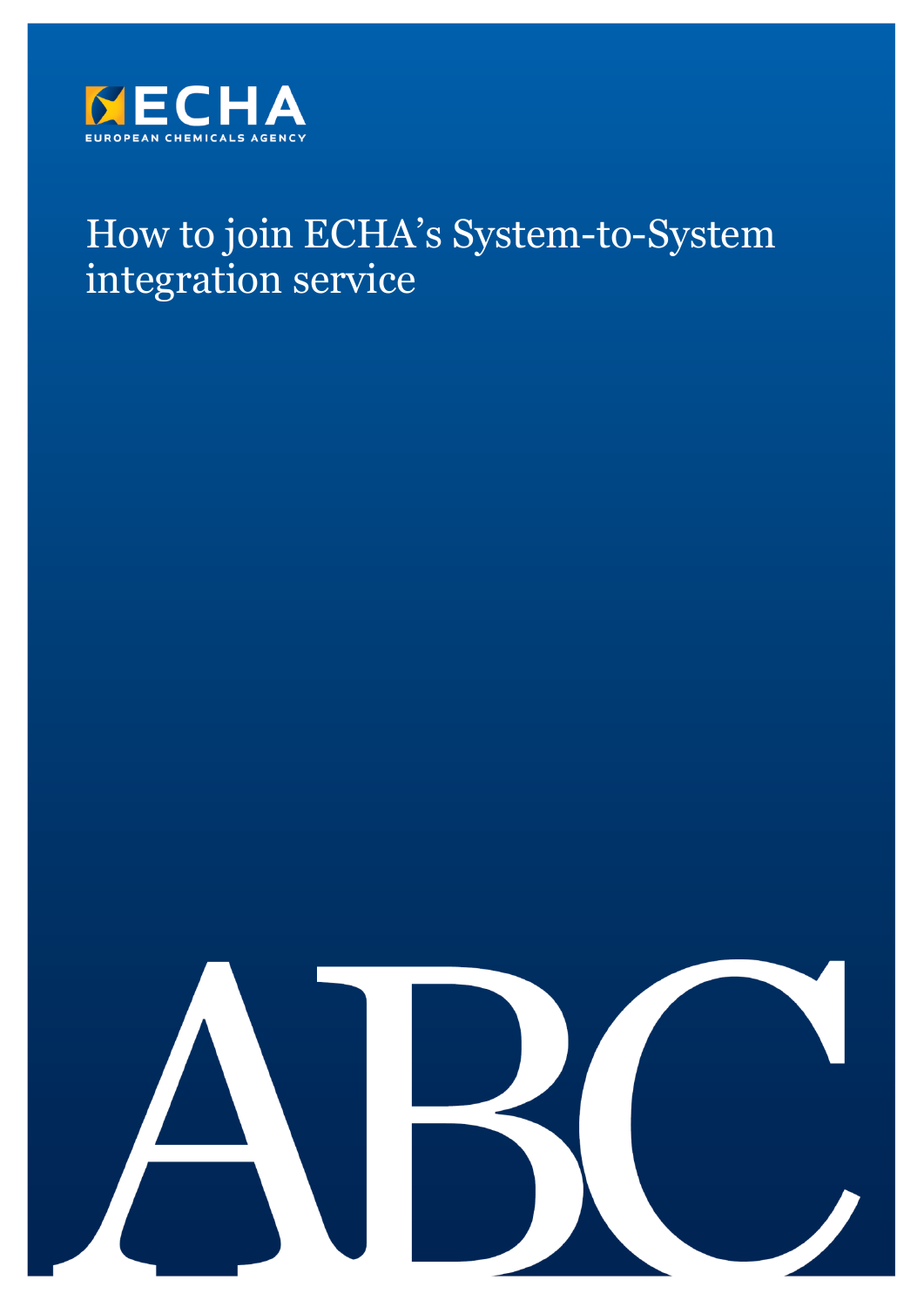

# How to join ECHA's System-to-System integration service

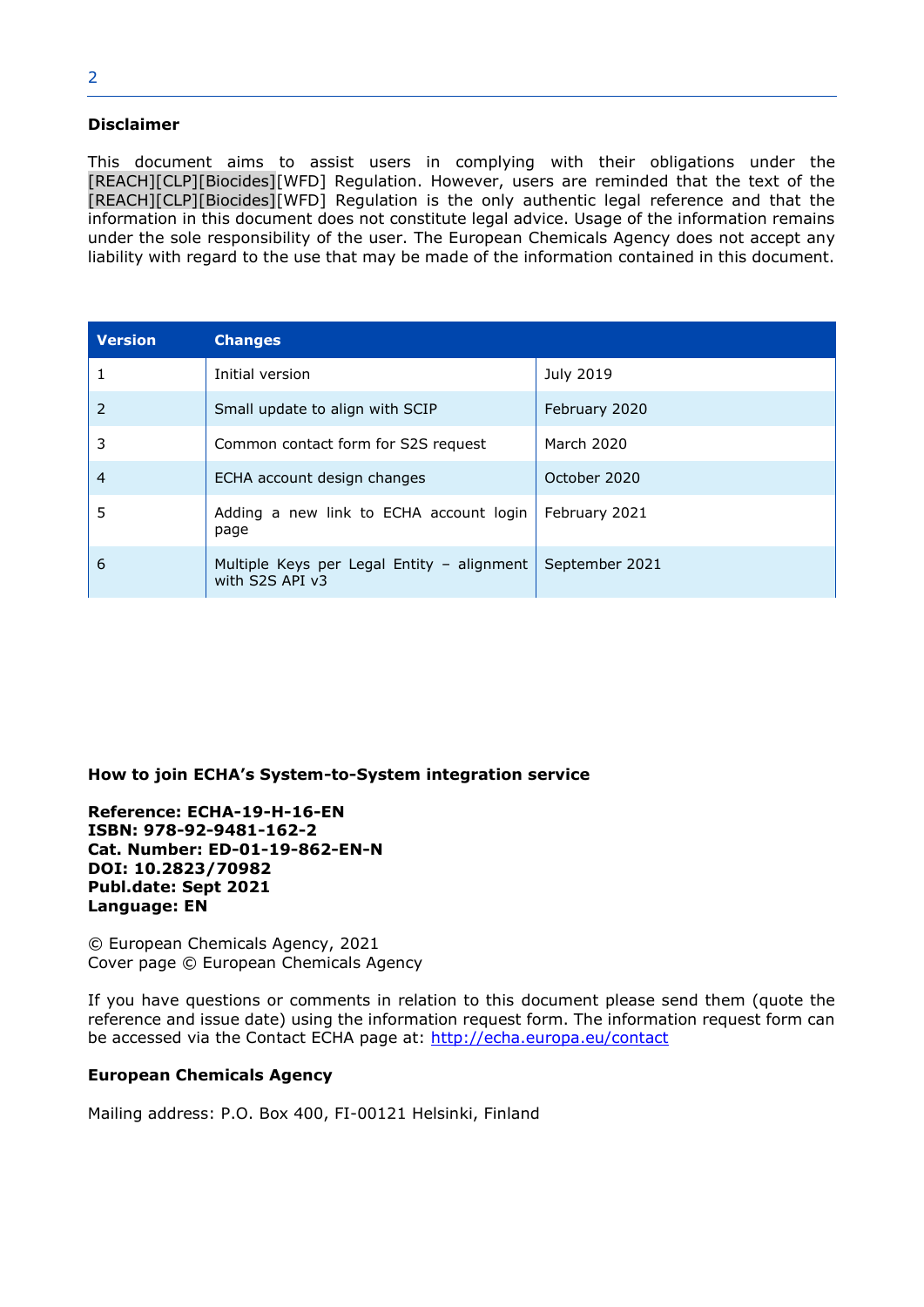#### **Disclaimer**

This document aims to assist users in complying with their obligations under the [REACH][CLP][Biocides][WFD] Regulation. However, users are reminded that the text of the [REACH][CLP][Biocides][WFD] Regulation is the only authentic legal reference and that the information in this document does not constitute legal advice. Usage of the information remains under the sole responsibility of the user. The European Chemicals Agency does not accept any liability with regard to the use that may be made of the information contained in this document.

| <b>Version</b> | <b>Changes</b>                                                |                |
|----------------|---------------------------------------------------------------|----------------|
|                | Initial version                                               | July 2019      |
| $\overline{2}$ | Small update to align with SCIP                               | February 2020  |
| 3              | Common contact form for S2S request                           | March 2020     |
| 4              | ECHA account design changes                                   | October 2020   |
| 5              | Adding a new link to ECHA account login<br>page               | February 2021  |
| 6              | Multiple Keys per Legal Entity - alignment<br>with S2S API v3 | September 2021 |

#### **How to join ECHA's System-to-System integration service**

**Reference: ECHA-19-H-16-EN ISBN: 978-92-9481-162-2 Cat. Number: ED-01-19-862-EN-N DOI: 10.2823/70982 Publ.date: Sept 2021 Language: EN**

© European Chemicals Agency, 2021 Cover page © European Chemicals Agency

If you have questions or comments in relation to this document please send them (quote the reference and issue date) using the information request form. The information request form can be accessed via the Contact ECHA page at: <http://echa.europa.eu/contact>

#### **European Chemicals Agency**

Mailing address: P.O. Box 400, FI-00121 Helsinki, Finland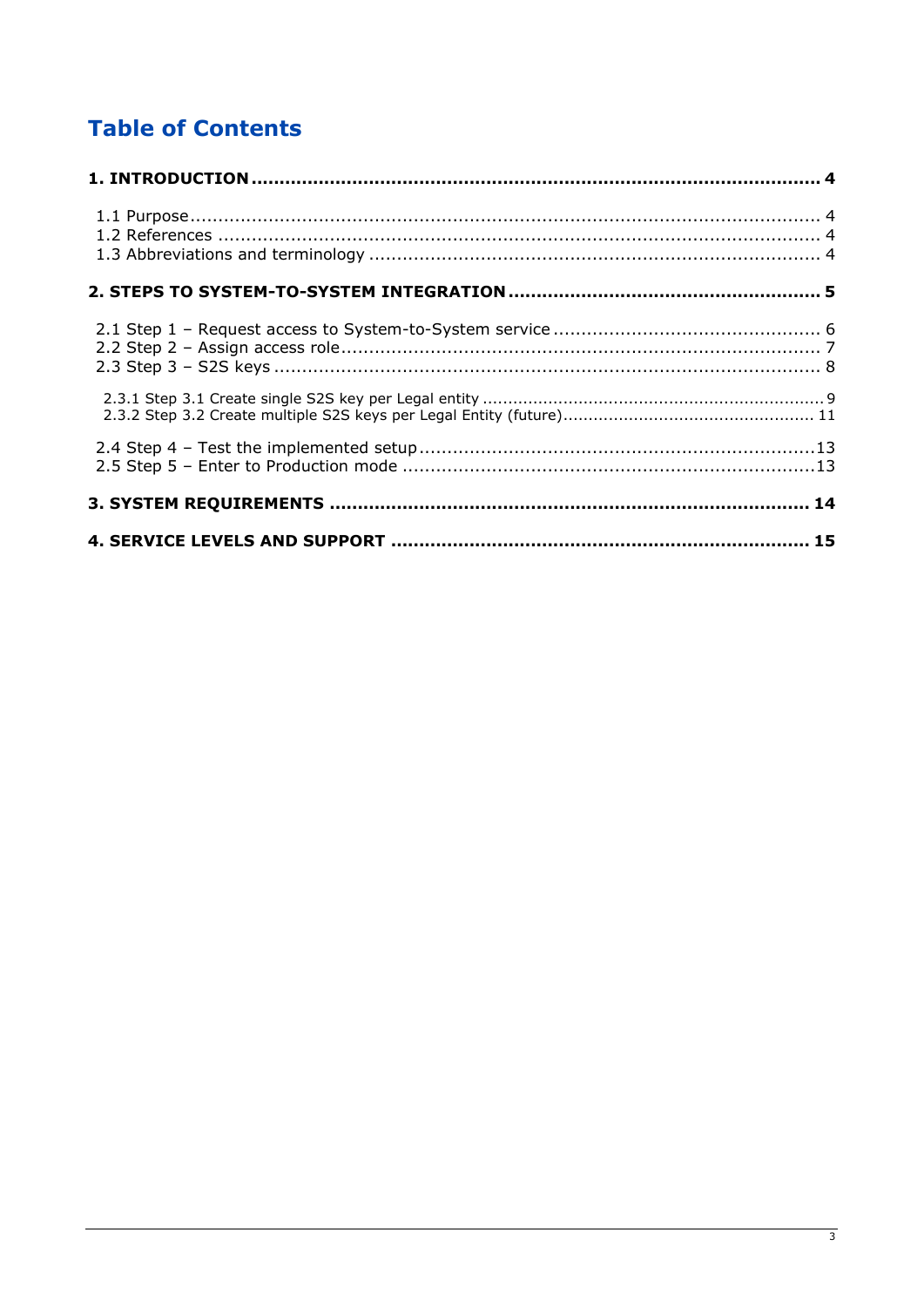# **Table of Contents**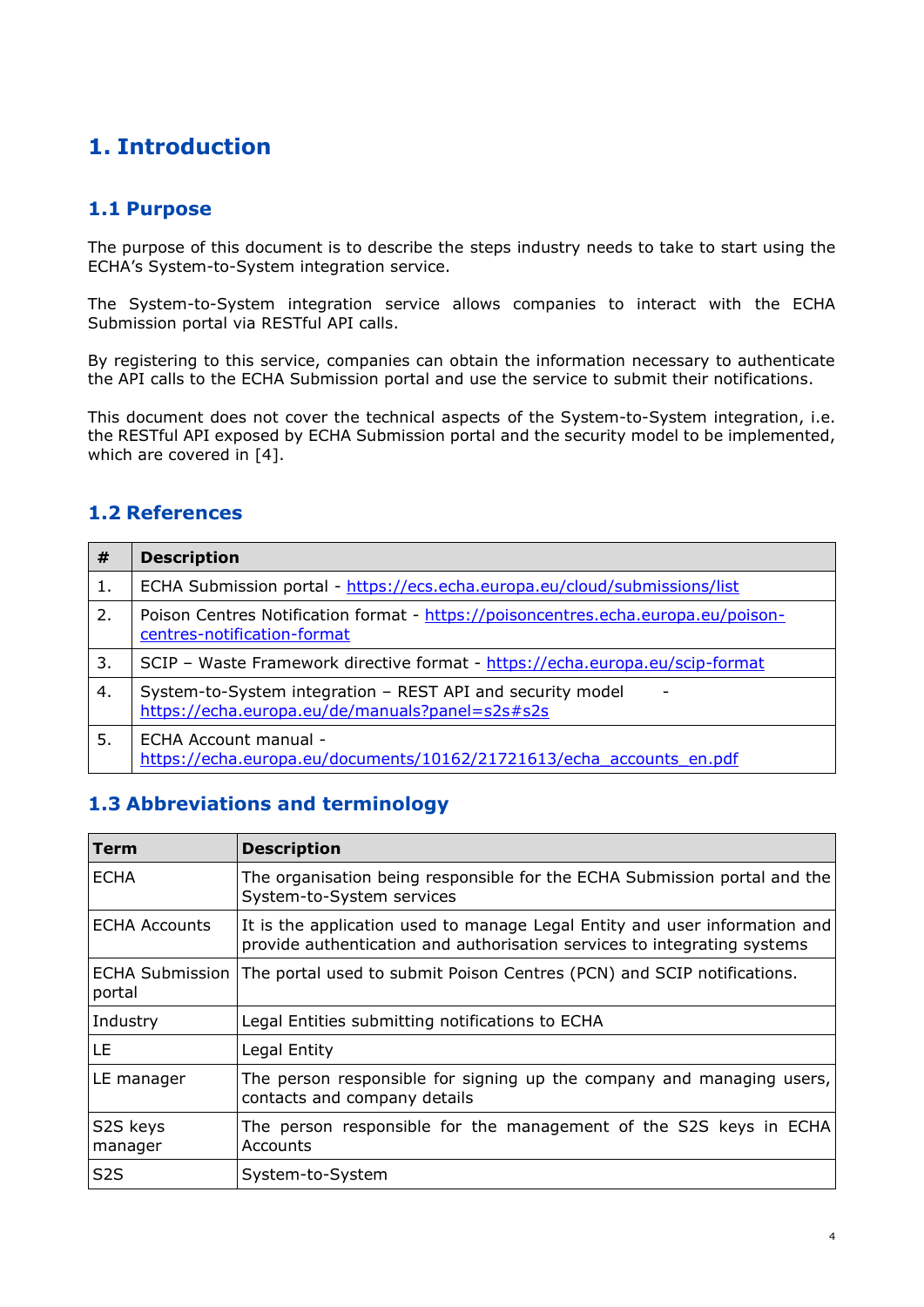# <span id="page-3-0"></span>**1. Introduction**

## <span id="page-3-1"></span>**1.1 Purpose**

The purpose of this document is to describe the steps industry needs to take to start using the ECHA's System-to-System integration service.

The System-to-System integration service allows companies to interact with the ECHA Submission portal via RESTful API calls.

By registering to this service, companies can obtain the information necessary to authenticate the API calls to the ECHA Submission portal and use the service to submit their notifications.

This document does not cover the technical aspects of the System-to-System integration, i.e. the RESTful API exposed by ECHA Submission portal and the security model to be implemented, which are covered in [\[4\]](#page-3-4).

## <span id="page-3-2"></span>**1.2 References**

| #  | <b>Description</b>                                                                                               |
|----|------------------------------------------------------------------------------------------------------------------|
| 1. | ECHA Submission portal - https://ecs.echa.europa.eu/cloud/submissions/list                                       |
| 2. | Poison Centres Notification format - https://poisoncentres.echa.europa.eu/poison-<br>centres-notification-format |
| 3. | SCIP - Waste Framework directive format - https://echa.europa.eu/scip-format                                     |
| 4. | System-to-System integration - REST API and security model<br>https://echa.europa.eu/de/manuals?panel=s2s#s2s    |
| 5. | ECHA Account manual -<br>https://echa.europa.eu/documents/10162/21721613/echa_accounts_en.pdf                    |

## <span id="page-3-5"></span><span id="page-3-4"></span><span id="page-3-3"></span>**1.3 Abbreviations and terminology**

| Term                 | <b>Description</b>                                                                                                                                     |  |
|----------------------|--------------------------------------------------------------------------------------------------------------------------------------------------------|--|
| <b>ECHA</b>          | The organisation being responsible for the ECHA Submission portal and the<br>System-to-System services                                                 |  |
| <b>ECHA Accounts</b> | It is the application used to manage Legal Entity and user information and<br>provide authentication and authorisation services to integrating systems |  |
| portal               | ECHA Submission The portal used to submit Poison Centres (PCN) and SCIP notifications.                                                                 |  |
| Industry             | Legal Entities submitting notifications to ECHA                                                                                                        |  |
| LE.                  | Legal Entity                                                                                                                                           |  |
| LE manager           | The person responsible for signing up the company and managing users,<br>contacts and company details                                                  |  |
| S2S keys<br>manager  | The person responsible for the management of the S2S keys in ECHA<br>Accounts                                                                          |  |
| S <sub>2</sub> S     | System-to-System                                                                                                                                       |  |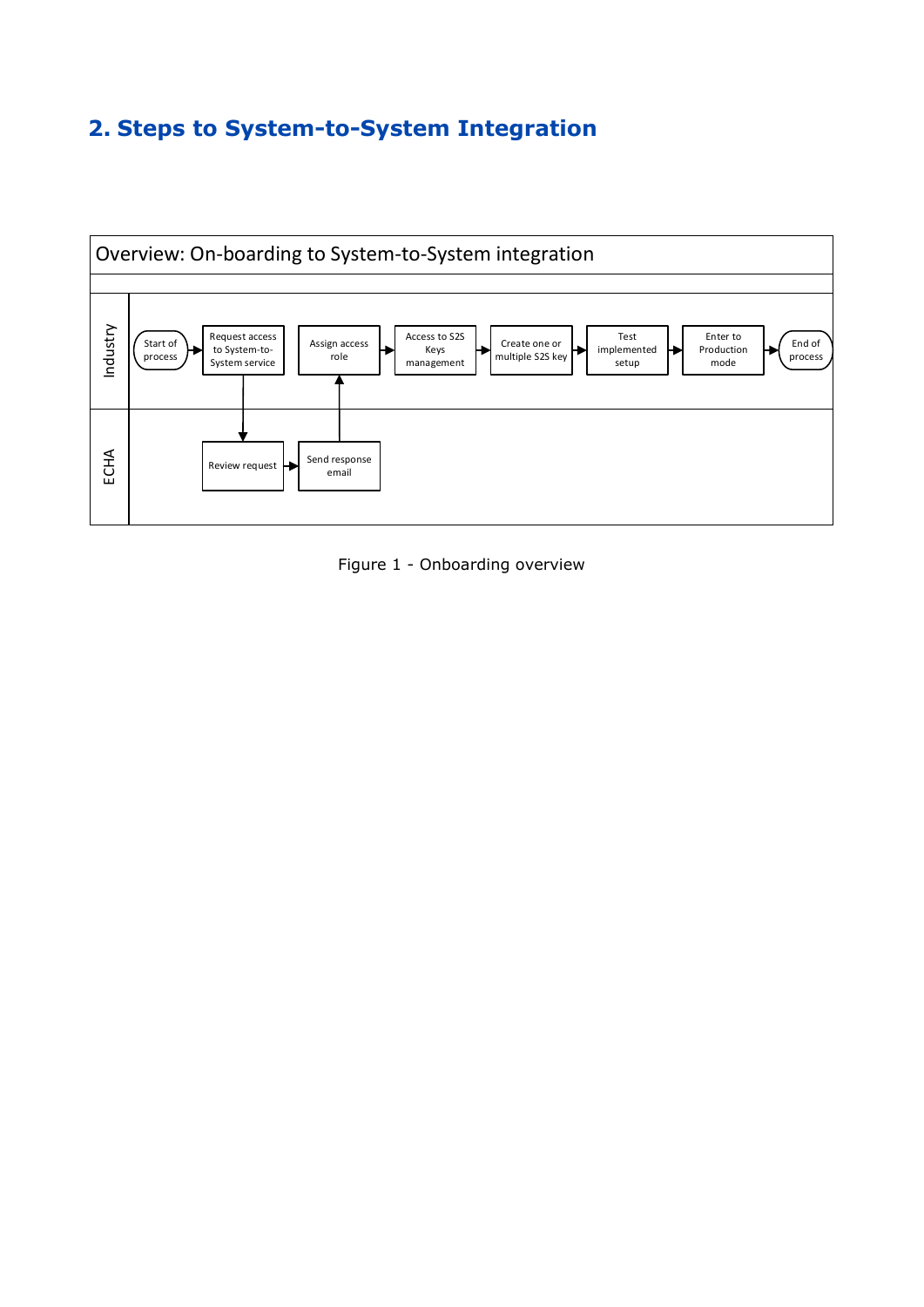# <span id="page-4-0"></span>**2. Steps to System-to-System Integration**



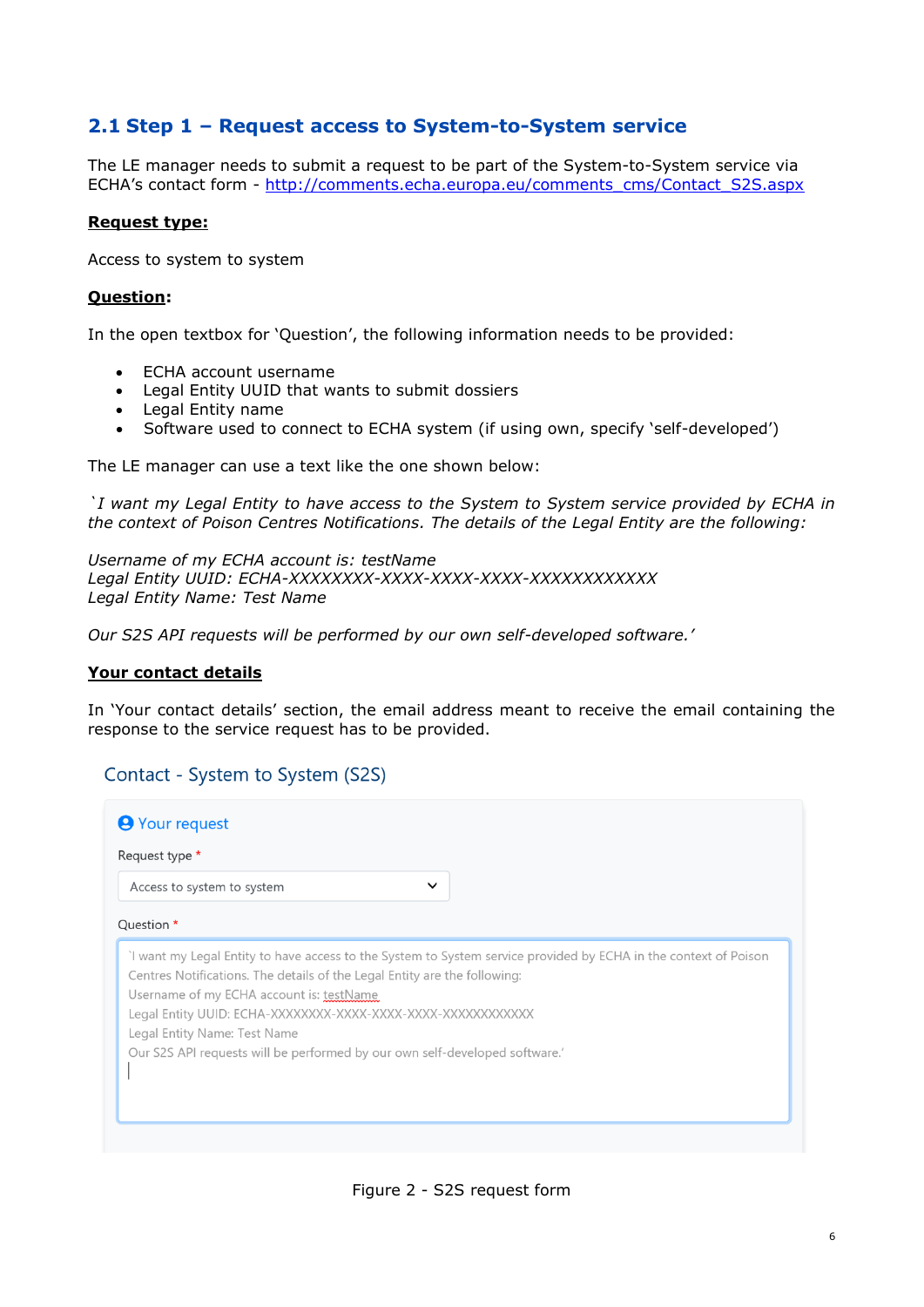## <span id="page-5-0"></span>**2.1 Step 1 – Request access to System-to-System service**

The LE manager needs to submit a request to be part of the System-to-System service via ECHA's contact form - [http://comments.echa.europa.eu/comments\\_cms/Contact\\_S2S.aspx](http://comments.echa.europa.eu/comments_cms/Contact_S2S.aspx)

#### **Request type:**

Access to system to system

#### **Question:**

In the open textbox for 'Question', the following information needs to be provided:

- ECHA account username
- Legal Entity UUID that wants to submit dossiers
- Legal Entity name
- Software used to connect to ECHA system (if using own, specify 'self-developed')

The LE manager can use a text like the one shown below:

*`I want my Legal Entity to have access to the System to System service provided by ECHA in the context of Poison Centres Notifications. The details of the Legal Entity are the following:*

*Username of my ECHA account is: testName Legal Entity UUID: ECHA-XXXXXXXX-XXXX-XXXX-XXXX-XXXXXXXXXXXX Legal Entity Name: Test Name*

*Our S2S API requests will be performed by our own self-developed software.'*

#### **Your contact details**

In 'Your contact details' section, the email address meant to receive the email containing the response to the service request has to be provided.

#### Contact - System to System (S2S)

| <b>9</b> Your request                                                                                                                                                                                                                                                                                                                                   |  |
|---------------------------------------------------------------------------------------------------------------------------------------------------------------------------------------------------------------------------------------------------------------------------------------------------------------------------------------------------------|--|
| Request type *                                                                                                                                                                                                                                                                                                                                          |  |
| $\checkmark$<br>Access to system to system                                                                                                                                                                                                                                                                                                              |  |
| Question *                                                                                                                                                                                                                                                                                                                                              |  |
| I want my Legal Entity to have access to the System to System service provided by ECHA in the context of Poison<br>Centres Notifications. The details of the Legal Entity are the following:<br>Username of my ECHA account is: testName<br>Legal Entity Name: Test Name<br>Our S2S API requests will be performed by our own self-developed software.' |  |

Figure 2 - S2S request form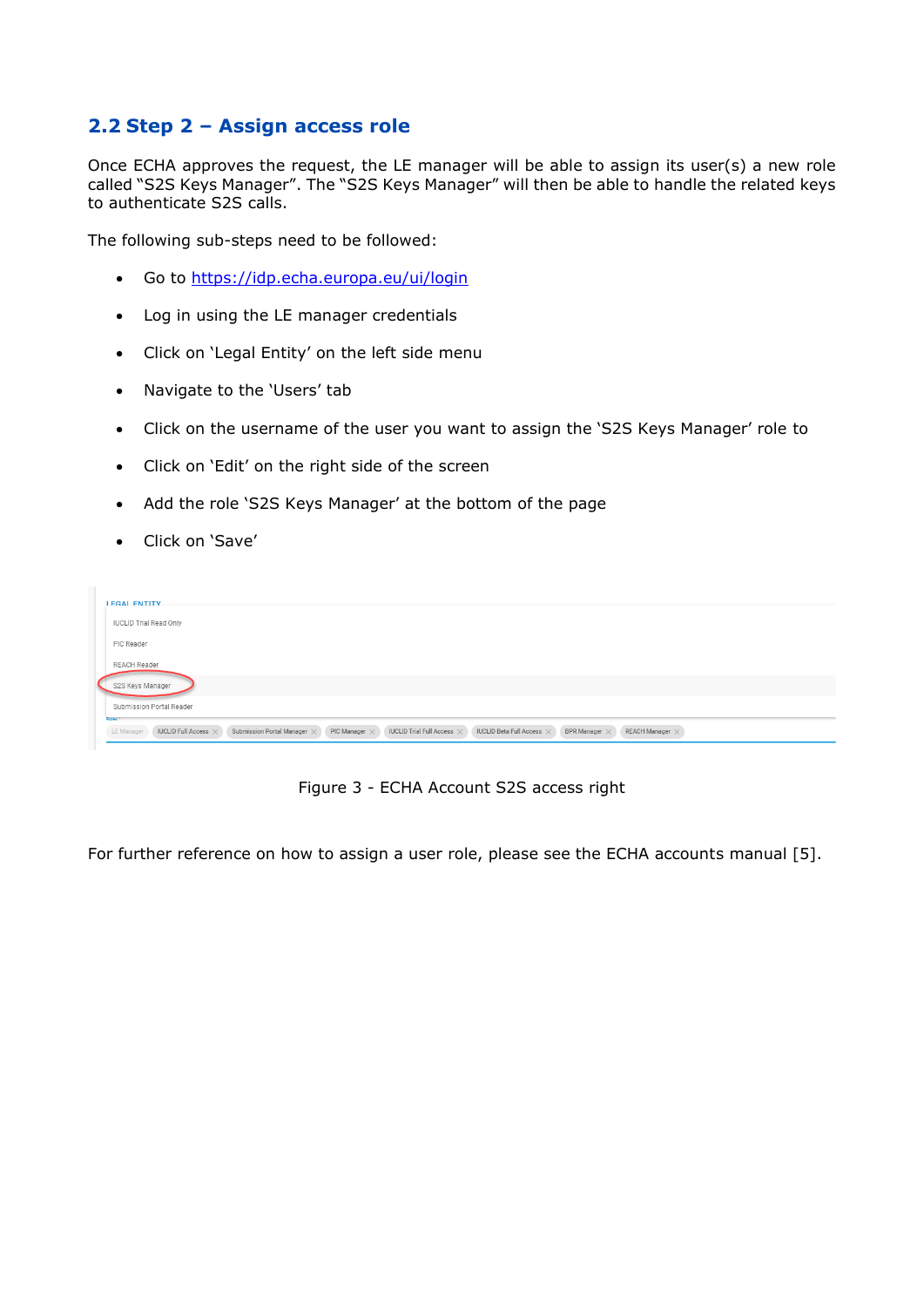## <span id="page-6-0"></span>**2.2 Step 2 – Assign access role**

Once ECHA approves the request, the LE manager will be able to assign its user(s) a new role called "S2S Keys Manager". The "S2S Keys Manager" will then be able to handle the related keys to authenticate S2S calls.

The following sub-steps need to be followed:

- Go to<https://idp.echa.europa.eu/ui/login>
- Log in using the LE manager credentials
- Click on 'Legal Entity' on the left side menu
- Navigate to the 'Users' tab
- Click on the username of the user you want to assign the 'S2S Keys Manager' role to
- Click on 'Edit' on the right side of the screen
- Add the role 'S2S Keys Manager' at the bottom of the page
- Click on 'Save'

| <b>LEGAL ENTITY</b>                                                                                                                                                                                                                         |
|---------------------------------------------------------------------------------------------------------------------------------------------------------------------------------------------------------------------------------------------|
| <b>IUCLID Trial Read Only</b>                                                                                                                                                                                                               |
| PIC Reader                                                                                                                                                                                                                                  |
| <b>REACH Reader</b>                                                                                                                                                                                                                         |
| S2S Keys Manager                                                                                                                                                                                                                            |
| Submission Portal Reader                                                                                                                                                                                                                    |
| <b>Roles</b><br>IUCLID Beta Full Access $\times$<br>Submission Portal Manager X<br>IUCLID Trial Full Access $\times$<br>IUCLID Full Access $\times$<br>PIC Manager $\times$<br>BPR Manager $\times$<br>LE Manager<br>REACH Manager $\times$ |
|                                                                                                                                                                                                                                             |

Figure 3 - ECHA Account S2S access right

For further reference on how to assign a user role, please see the ECHA accounts manual [\[5\]](#page-3-5).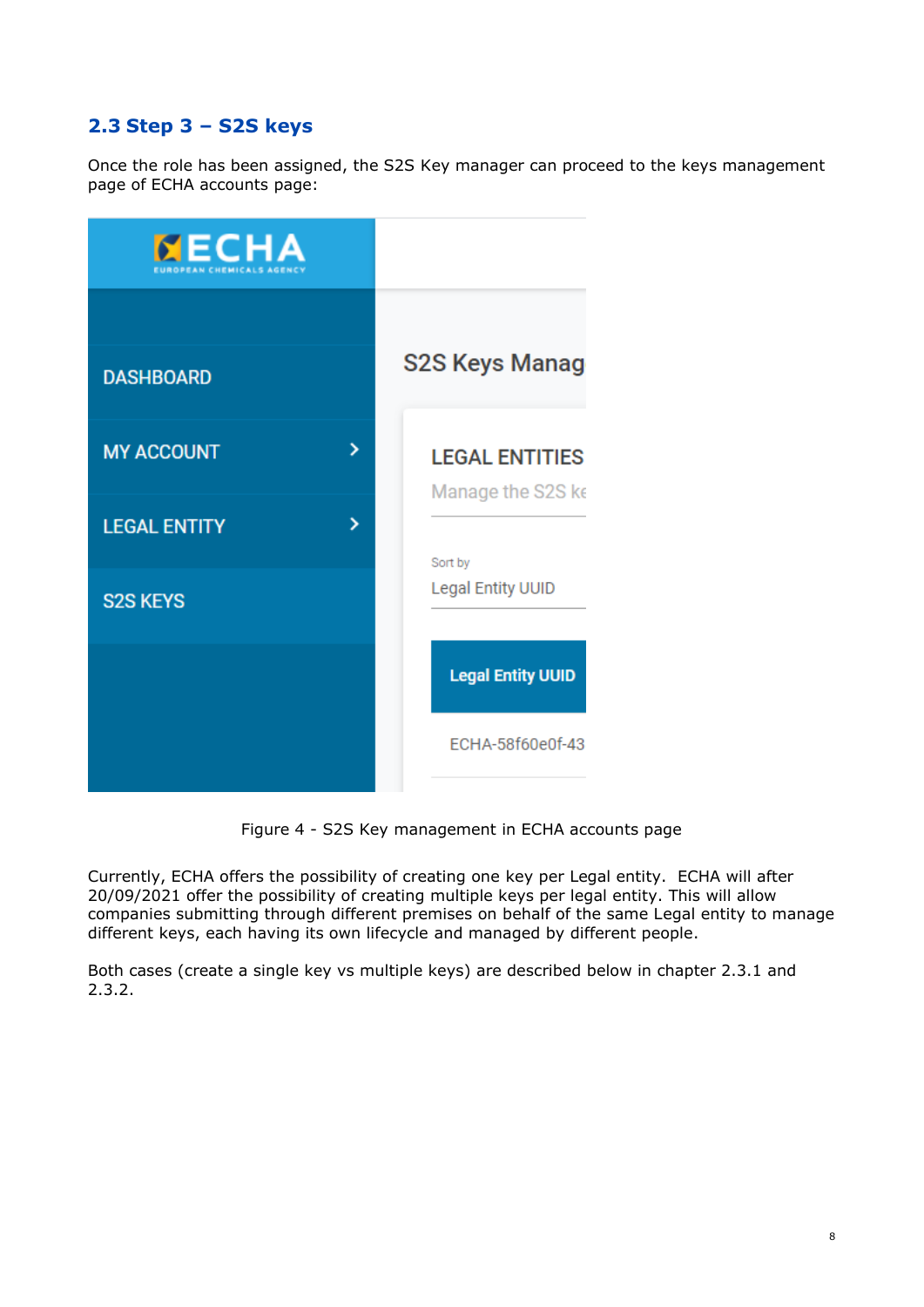## <span id="page-7-0"></span>**2.3 Step 3 – S2S keys**

Once the role has been assigned, the S2S Key manager can proceed to the keys management page of ECHA accounts page:



Figure 4 - S2S Key management in ECHA accounts page

Currently, ECHA offers the possibility of creating one key per Legal entity. ECHA will after 20/09/2021 offer the possibility of creating multiple keys per legal entity. This will allow companies submitting through different premises on behalf of the same Legal entity to manage different keys, each having its own lifecycle and managed by different people.

Both cases (create a single key vs multiple keys) are described below in chapter 2.3.1 and 2.3.2.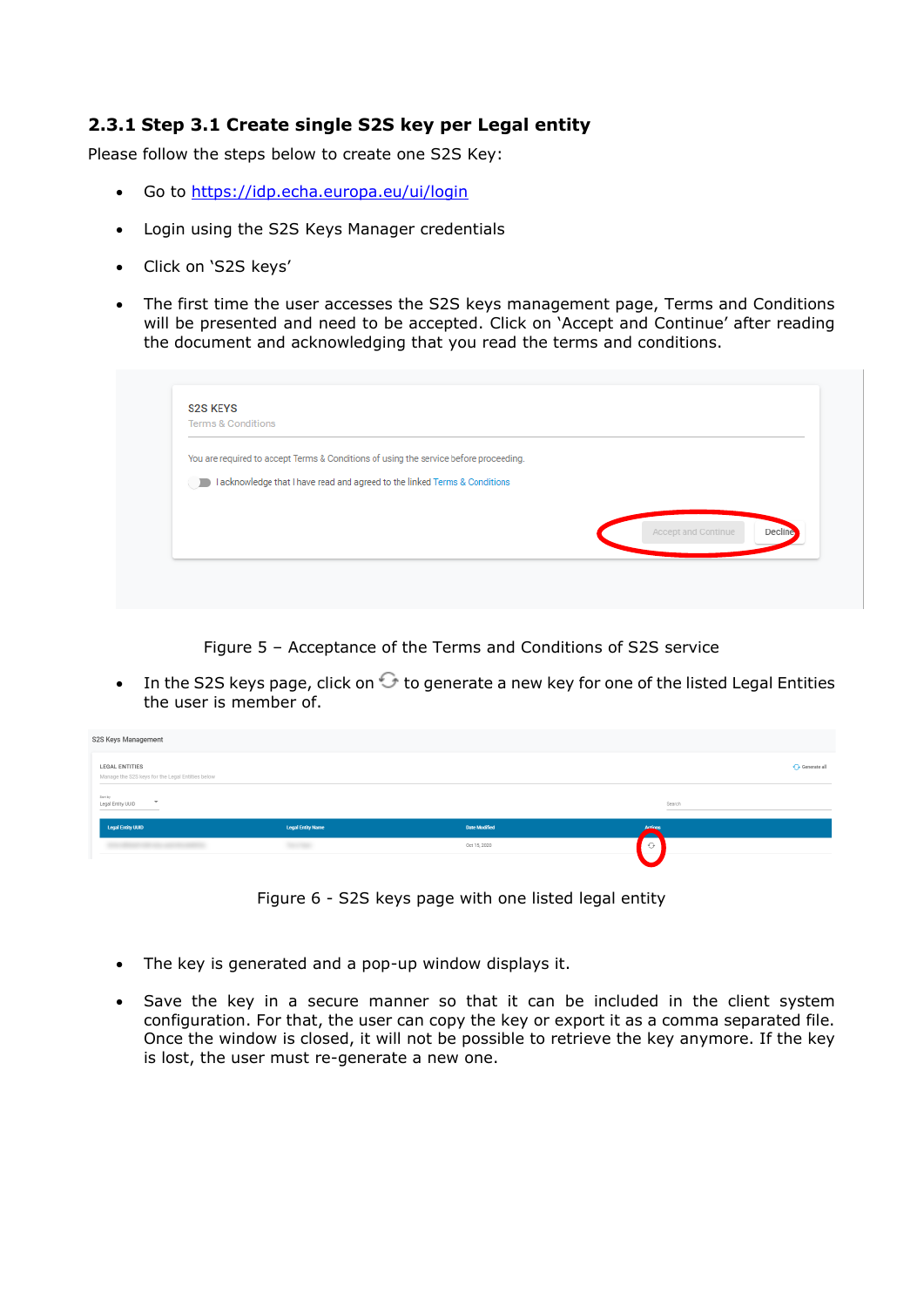#### <span id="page-8-0"></span>**2.3.1 Step 3.1 Create single S2S key per Legal entity**

Please follow the steps below to create one S2S Key:

- Go to<https://idp.echa.europa.eu/ui/login>
- Login using the S2S Keys Manager credentials
- Click on 'S2S keys'
- The first time the user accesses the S2S keys management page, Terms and Conditions will be presented and need to be accepted. Click on 'Accept and Continue' after reading the document and acknowledging that you read the terms and conditions.

| You are required to accept Terms & Conditions of using the service before proceeding. |  |                     |         |
|---------------------------------------------------------------------------------------|--|---------------------|---------|
| I acknowledge that I have read and agreed to the linked Terms & Conditions            |  |                     |         |
|                                                                                       |  |                     |         |
|                                                                                       |  | Accept and Continue | Decline |

Figure 5 – Acceptance of the Terms and Conditions of S2S service

• In the S2S keys page, click on  $\Theta$  to generate a new key for one of the listed Legal Entities the user is member of.

| S2S Keys Management                                                |                          |                      |                |              |
|--------------------------------------------------------------------|--------------------------|----------------------|----------------|--------------|
| LEGAL ENTITIES<br>Manage the S2S keys for the Legal Entities below |                          |                      |                | Generate all |
| Sort by<br>$\;$<br>Legal Entity UUID<br>_____                      |                          |                      | Search<br>__   |              |
| <b>Legal Entity UUID</b>                                           | <b>Legal Entity Name</b> | <b>Date Modified</b> | <b>Actions</b> |              |
|                                                                    |                          | Oct 15, 2020         | $\odot$        |              |
|                                                                    |                          |                      |                |              |

Figure 6 - S2S keys page with one listed legal entity

- The key is generated and a pop-up window displays it.
- Save the key in a secure manner so that it can be included in the client system configuration. For that, the user can copy the key or export it as a comma separated file. Once the window is closed, it will not be possible to retrieve the key anymore. If the key is lost, the user must re-generate a new one.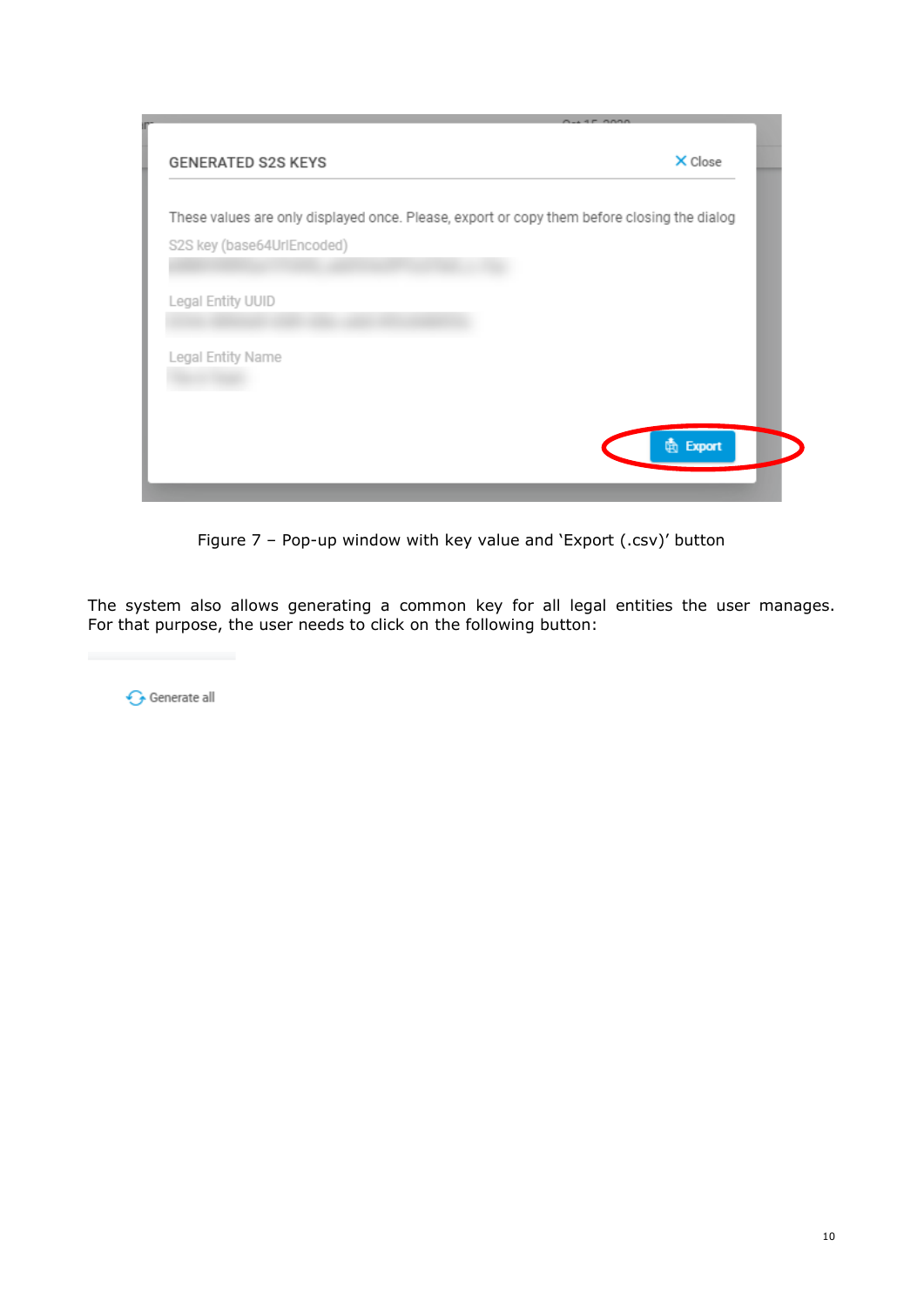

Figure 7 – Pop-up window with key value and 'Export (.csv)' button

The system also allows generating a common key for all legal entities the user manages. For that purpose, the user needs to click on the following button:

Generate all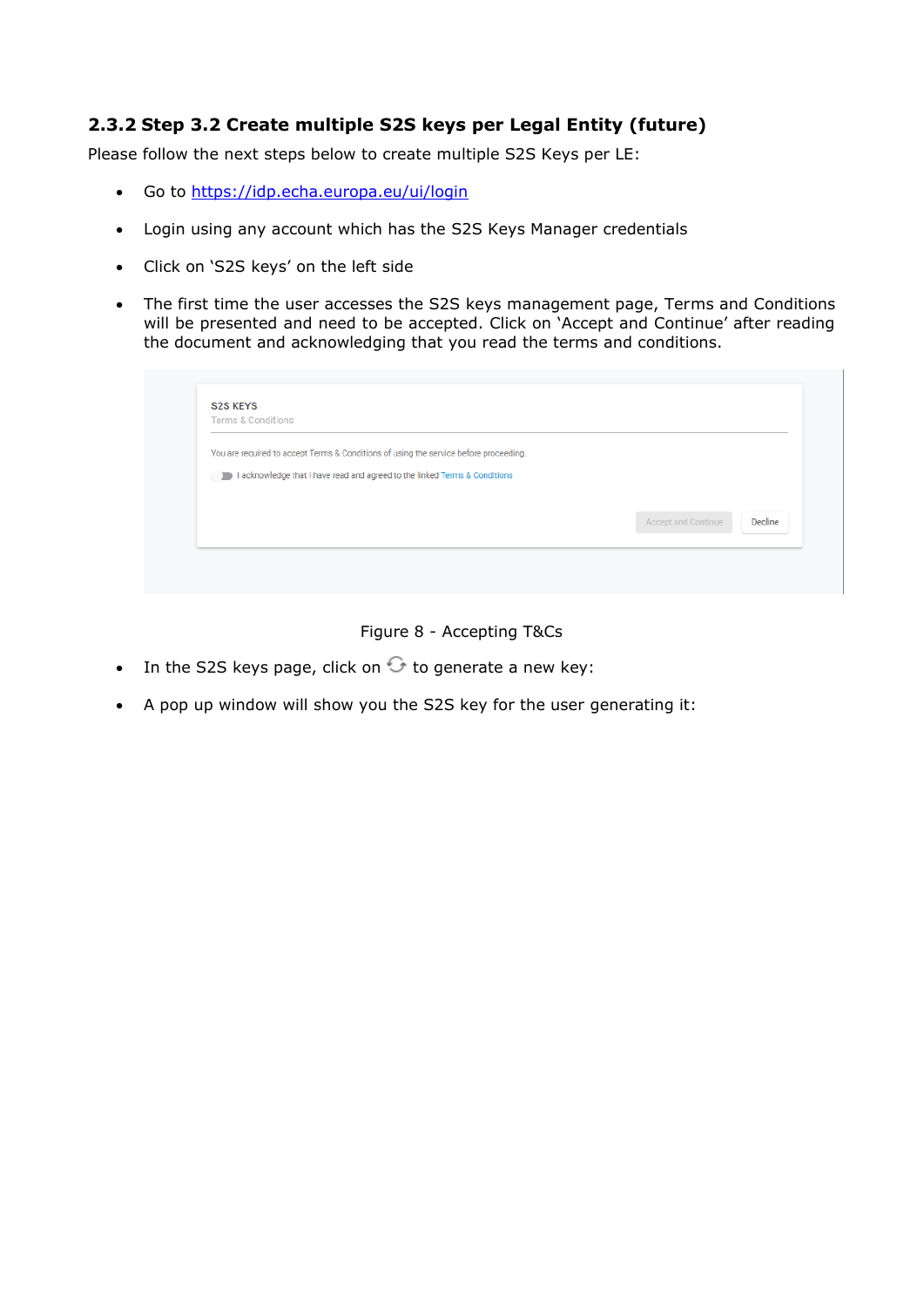## <span id="page-10-0"></span>**2.3.2 Step 3.2 Create multiple S2S keys per Legal Entity (future)**

Please follow the next steps below to create multiple S2S Keys per LE:

- Go to<https://idp.echa.europa.eu/ui/login>
- Login using any account which has the S2S Keys Manager credentials
- Click on 'S2S keys' on the left side
- The first time the user accesses the S2S keys management page, Terms and Conditions will be presented and need to be accepted. Click on 'Accept and Continue' after reading the document and acknowledging that you read the terms and conditions.

| <b>S2S KEYS</b><br><b>Terms &amp; Conditions</b>                                      |                                |
|---------------------------------------------------------------------------------------|--------------------------------|
|                                                                                       |                                |
| You are required to accept Terms & Conditions of using the service before proceeding. |                                |
| I acknowledge that I have read and agreed to the linked Terms & Conditions            |                                |
|                                                                                       |                                |
|                                                                                       |                                |
|                                                                                       | Decline<br>Accept and Continue |
|                                                                                       |                                |

#### Figure 8 - Accepting T&Cs

- In the S2S keys page, click on  $\bullet$  to generate a new key:
- A pop up window will show you the S2S key for the user generating it: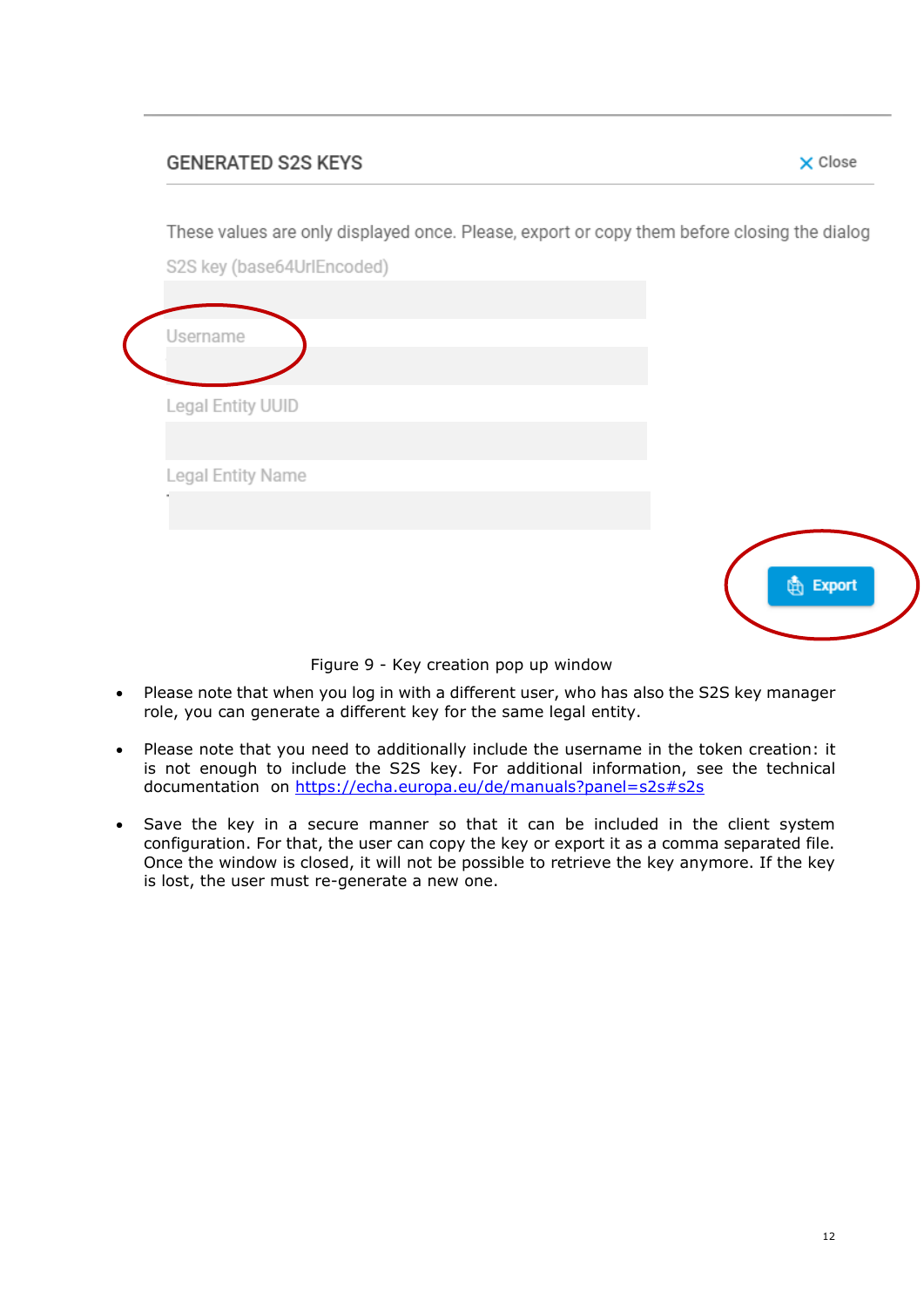## **GENERATED S2S KEYS**

X Close

These values are only displayed once. Please, export or copy them before closing the dialog

S2S key (base64UrlEncoded)

| Username          |                     |
|-------------------|---------------------|
| Legal Entity UUID |                     |
| Legal Entity Name |                     |
|                   |                     |
|                   | <b>Export</b><br>ſħ |

Figure 9 - Key creation pop up window

- Please note that when you log in with a different user, who has also the S2S key manager role, you can generate a different key for the same legal entity.
- Please note that you need to additionally include the username in the token creation: it is not enough to include the S2S key. For additional information, see the technical documentation on<https://echa.europa.eu/de/manuals?panel=s2s#s2s>
- Save the key in a secure manner so that it can be included in the client system configuration. For that, the user can copy the key or export it as a comma separated file. Once the window is closed, it will not be possible to retrieve the key anymore. If the key is lost, the user must re-generate a new one.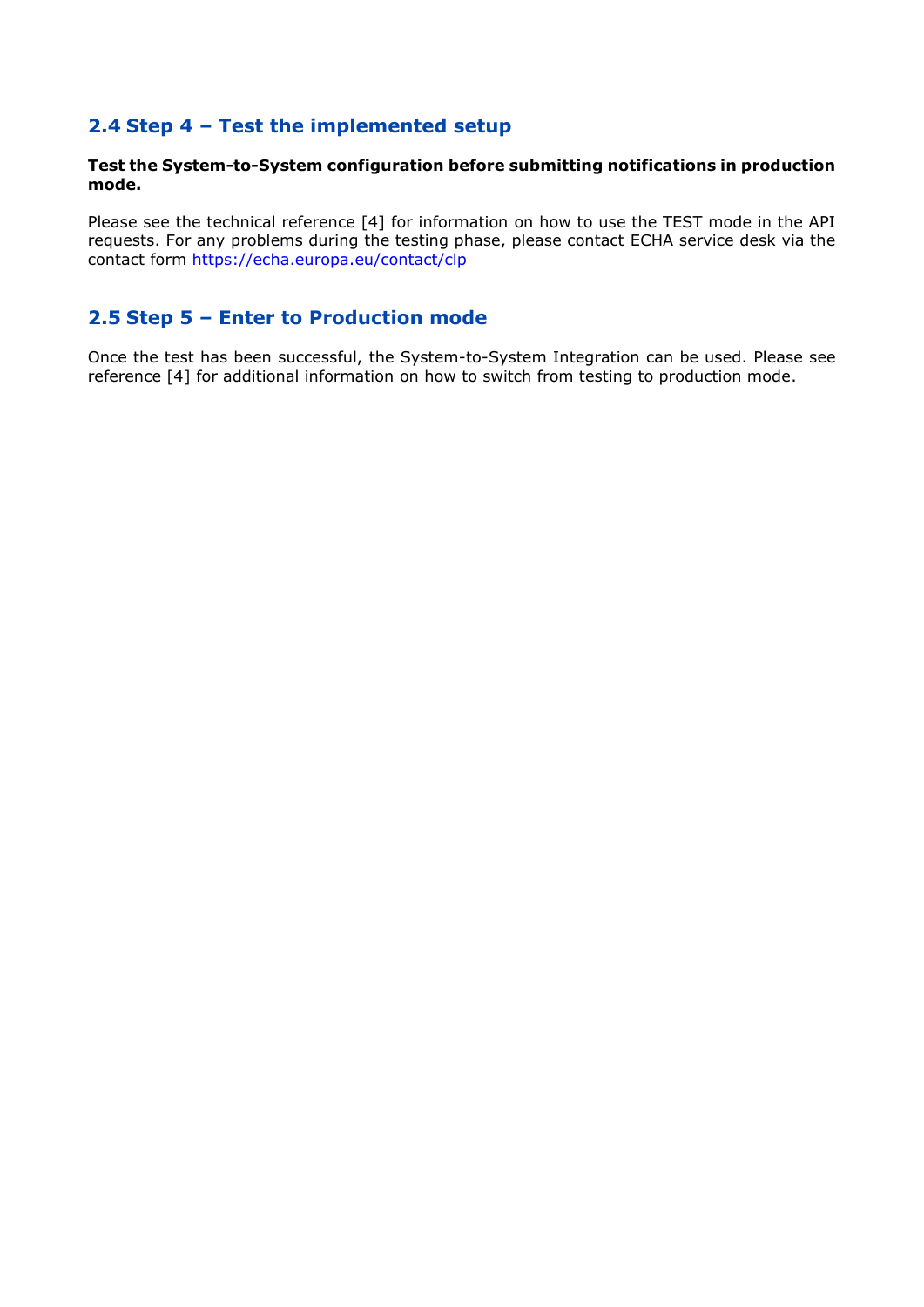## <span id="page-12-0"></span>**2.4 Step 4 – Test the implemented setup**

#### **Test the System-to-System configuration before submitting notifications in production mode.**

Please see the technical reference [\[4\]](#page-3-4) for information on how to use the TEST mode in the API requests. For any problems during the testing phase, please contact ECHA service desk via the contact form<https://echa.europa.eu/contact/clp>

## <span id="page-12-1"></span>**2.5 Step 5 – Enter to Production mode**

Once the test has been successful, the System-to-System Integration can be used. Please see reference [\[4\]](#page-3-4) for additional information on how to switch from testing to production mode.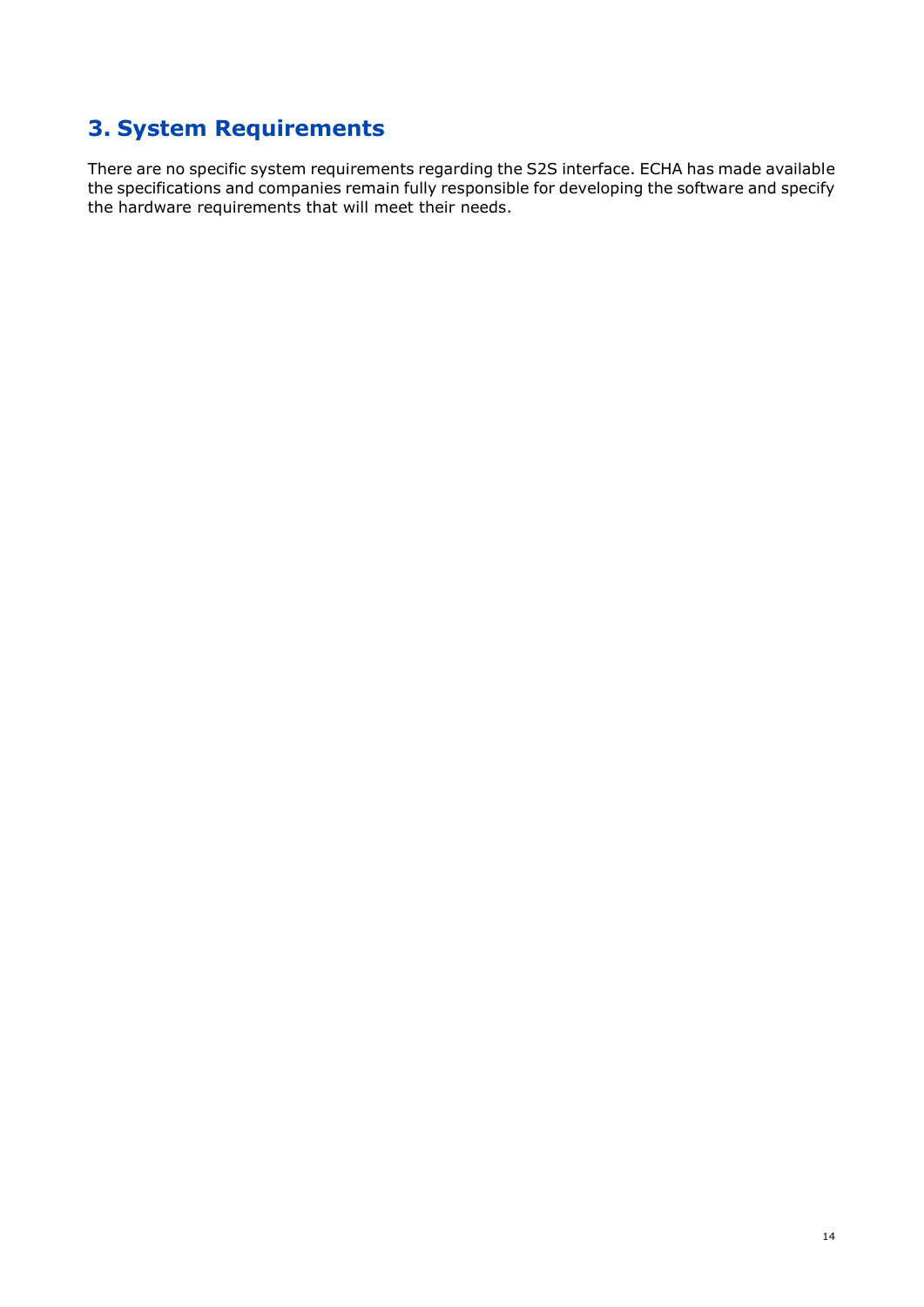# <span id="page-13-0"></span>**3. System Requirements**

There are no specific system requirements regarding the S2S interface. ECHA has made available the specifications and companies remain fully responsible for developing the software and specify the hardware requirements that will meet their needs.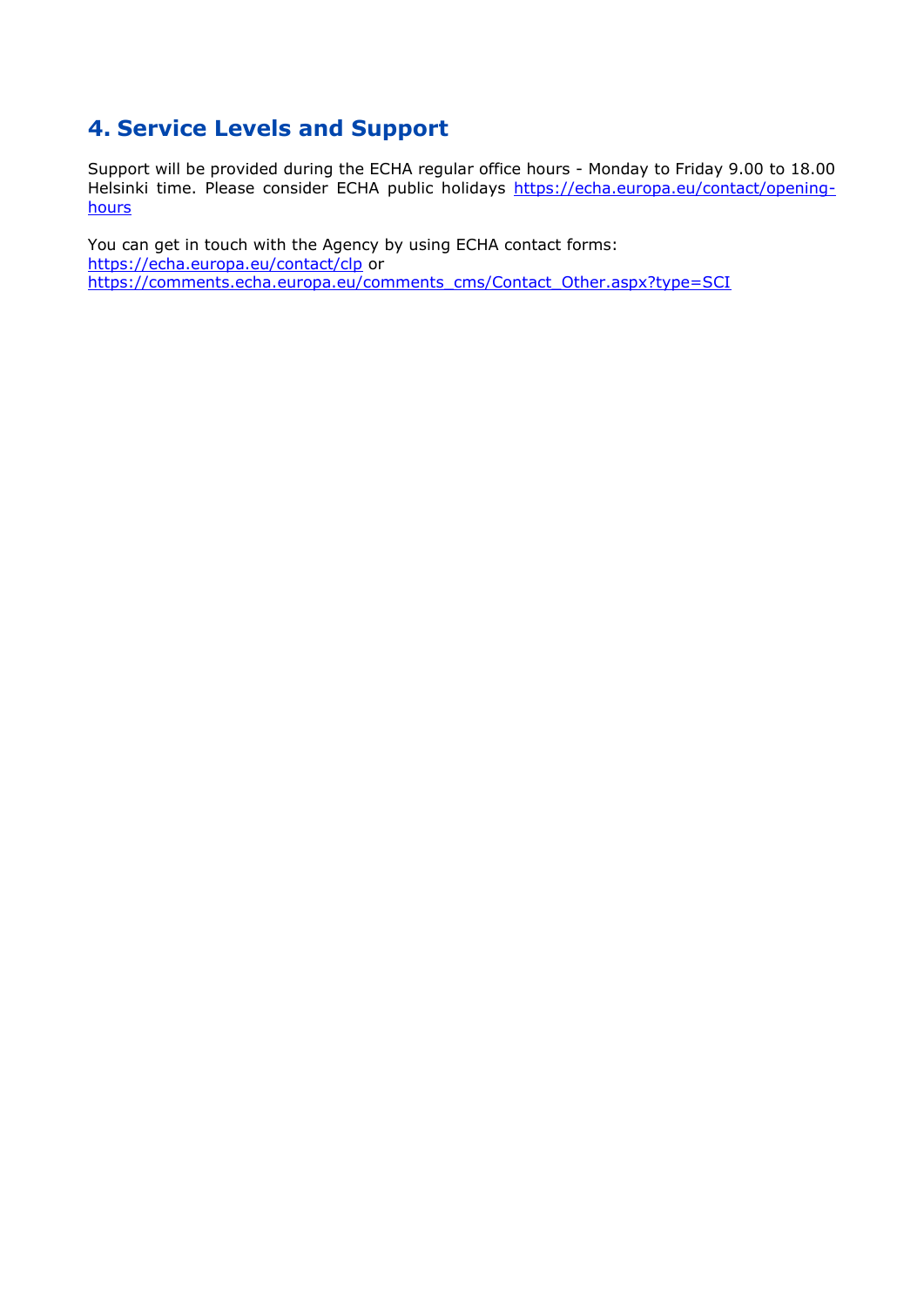## <span id="page-14-0"></span>**4. Service Levels and Support**

Support will be provided during the ECHA regular office hours - Monday to Friday 9.00 to 18.00 Helsinki time. Please consider ECHA public holidays [https://echa.europa.eu/contact/opening](https://echa.europa.eu/contact/opening-hours)[hours](https://echa.europa.eu/contact/opening-hours)

You can get in touch with the Agency by using ECHA contact forms: <https://echa.europa.eu/contact/clp> or https://comments.echa.europa.eu/comments\_cms/Contact\_Other.aspx?type=SCI